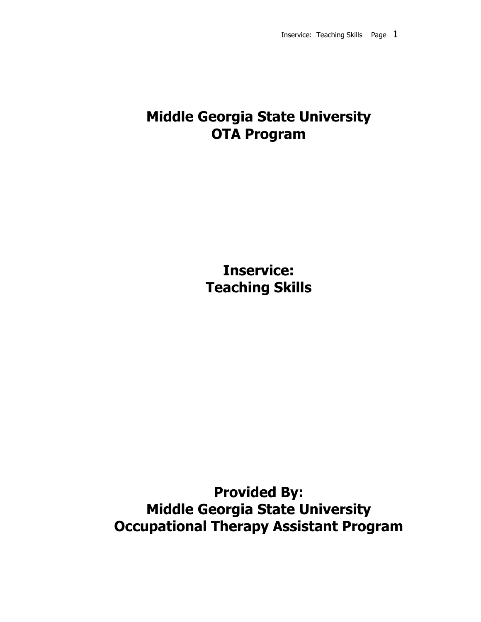# **Middle Georgia State University OTA Program**

**Inservice: Teaching Skills**

**Provided By: Middle Georgia State University Occupational Therapy Assistant Program**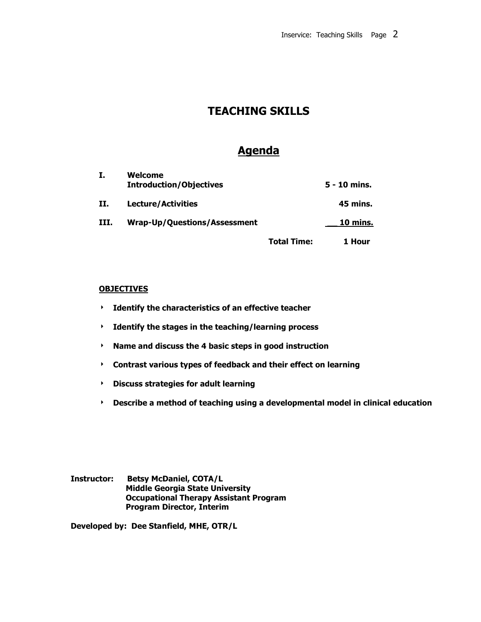# **TEACHING SKILLS**

## **Agenda**

| I.   | Welcome<br><b>Introduction/Objectives</b> |                    | 5 - 10 mins.    |
|------|-------------------------------------------|--------------------|-----------------|
| Н.   | <b>Lecture/Activities</b>                 |                    | <b>45 mins.</b> |
| III. | <b>Wrap-Up/Questions/Assessment</b>       |                    | 10 mins.        |
|      |                                           | <b>Total Time:</b> | 1 Hour          |

## **OBJECTIVES**

- **Identify the characteristics of an effective teacher**
- **Identify the stages in the teaching/learning process**
- **Name and discuss the 4 basic steps in good instruction**
- **Contrast various types of feedback and their effect on learning**
- **Discuss strategies for adult learning**
- **Describe a method of teaching using a developmental model in clinical education**

**Instructor: Betsy McDaniel, COTA/L Middle Georgia State University Occupational Therapy Assistant Program Program Director, Interim** 

**Developed by: Dee Stanfield, MHE, OTR/L**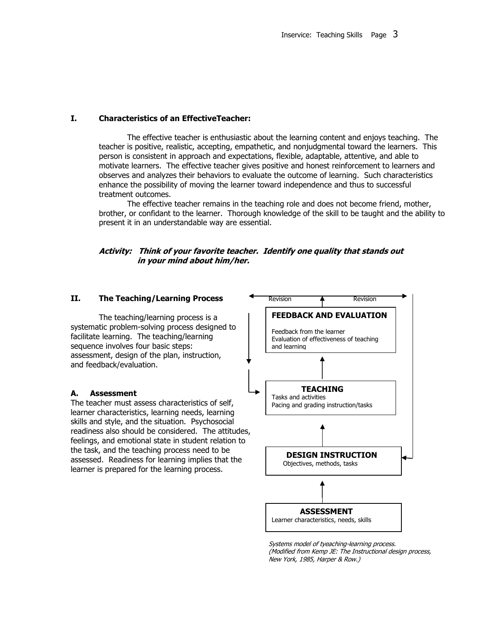#### **I. Characteristics of an EffectiveTeacher:**

The effective teacher is enthusiastic about the learning content and enjoys teaching. The teacher is positive, realistic, accepting, empathetic, and nonjudgmental toward the learners. This person is consistent in approach and expectations, flexible, adaptable, attentive, and able to motivate learners. The effective teacher gives positive and honest reinforcement to learners and observes and analyzes their behaviors to evaluate the outcome of learning. Such characteristics enhance the possibility of moving the learner toward independence and thus to successful treatment outcomes.

The effective teacher remains in the teaching role and does not become friend, mother, brother, or confidant to the learner. Thorough knowledge of the skill to be taught and the ability to present it in an understandable way are essential.

#### **Activity: Think of your favorite teacher. Identify one quality that stands out in your mind about him/her.**

## **II. The Teaching/Learning Process Revision 4 Revision**

The teaching/learning process is a systematic problem-solving process designed to facilitate learning. The teaching/learning sequence involves four basic steps: assessment, design of the plan, instruction, and feedback/evaluation.

#### **A. Assessment**

The teacher must assess characteristics of self, learner characteristics, learning needs, learning skills and style, and the situation. Psychosocial readiness also should be considered. The attitudes, feelings, and emotional state in student relation to the task, and the teaching process need to be assessed. Readiness for learning implies that the learner is prepared for the learning process.



Systems model of tyeaching-learning process. (Modified from Kemp JE: The Instructional design process, New York, 1985, Harper & Row.)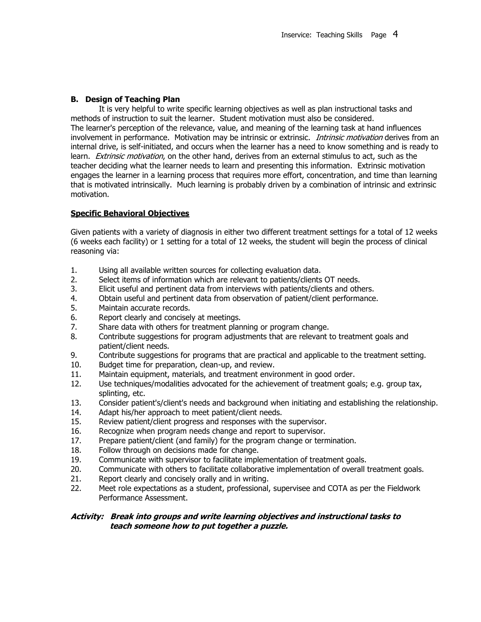## **B. Design of Teaching Plan**

It is very helpful to write specific learning objectives as well as plan instructional tasks and methods of instruction to suit the learner. Student motivation must also be considered. The learner's perception of the relevance, value, and meaning of the learning task at hand influences involvement in performance. Motivation may be intrinsic or extrinsic. *Intrinsic motivation* derives from an internal drive, is self-initiated, and occurs when the learner has a need to know something and is ready to learn. *Extrinsic motivation*, on the other hand, derives from an external stimulus to act, such as the teacher deciding what the learner needs to learn and presenting this information. Extrinsic motivation engages the learner in a learning process that requires more effort, concentration, and time than learning that is motivated intrinsically. Much learning is probably driven by a combination of intrinsic and extrinsic motivation.

## **Specific Behavioral Objectives**

Given patients with a variety of diagnosis in either two different treatment settings for a total of 12 weeks (6 weeks each facility) or 1 setting for a total of 12 weeks, the student will begin the process of clinical reasoning via:

- 1. Using all available written sources for collecting evaluation data.
- 2. Select items of information which are relevant to patients/clients OT needs.
- 3. Elicit useful and pertinent data from interviews with patients/clients and others.
- 4. Obtain useful and pertinent data from observation of patient/client performance.
- 5. Maintain accurate records.
- 6. Report clearly and concisely at meetings.
- 7. Share data with others for treatment planning or program change.
- 8. Contribute suggestions for program adjustments that are relevant to treatment goals and patient/client needs.
- 9. Contribute suggestions for programs that are practical and applicable to the treatment setting.
- 10. Budget time for preparation, clean-up, and review.
- 11. Maintain equipment, materials, and treatment environment in good order.
- 12. Use techniques/modalities advocated for the achievement of treatment goals; e.g. group tax, splinting, etc.
- 13. Consider patient's/client's needs and background when initiating and establishing the relationship.
- 14. Adapt his/her approach to meet patient/client needs.
- 15. Review patient/client progress and responses with the supervisor.
- 16. Recognize when program needs change and report to supervisor.
- 17. Prepare patient/client (and family) for the program change or termination.
- 18. Follow through on decisions made for change.
- 19. Communicate with supervisor to facilitate implementation of treatment goals.
- 20. Communicate with others to facilitate collaborative implementation of overall treatment goals.
- 21. Report clearly and concisely orally and in writing.
- 22. Meet role expectations as a student, professional, supervisee and COTA as per the Fieldwork Performance Assessment.

## **Activity: Break into groups and write learning objectives and instructional tasks to teach someone how to put together a puzzle.**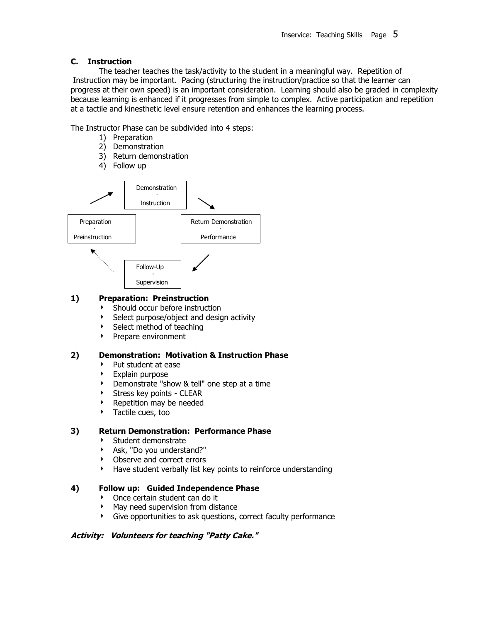## **C. Instruction**

The teacher teaches the task/activity to the student in a meaningful way. Repetition of Instruction may be important. Pacing (structuring the instruction/practice so that the learner can progress at their own speed) is an important consideration. Learning should also be graded in complexity because learning is enhanced if it progresses from simple to complex. Active participation and repetition at a tactile and kinesthetic level ensure retention and enhances the learning process.

The Instructor Phase can be subdivided into 4 steps:

- 1) Preparation
- 2) Demonstration
- 3) Return demonstration
- 4) Follow up



## **1) Preparation: Preinstruction**

- Should occur before instruction
- Select purpose/object and design activity
- Select method of teaching
- Prepare environment

## **2) Demonstration: Motivation & Instruction Phase**

- $\rightarrow$  Put student at ease
- Explain purpose
- Demonstrate "show & tell" one step at a time
- **Stress key points CLEAR**
- Repetition may be needed
- Tactile cues, too

## **3) Return Demonstration: Performance Phase**

- Student demonstrate
- Ask, "Do you understand?"
- Observe and correct errors
- Have student verbally list key points to reinforce understanding

## **4) Follow up: Guided Independence Phase**

- Once certain student can do it
- $M$  May need supervision from distance
- Give opportunities to ask questions, correct faculty performance

## **Activity: Volunteers for teaching "Patty Cake."**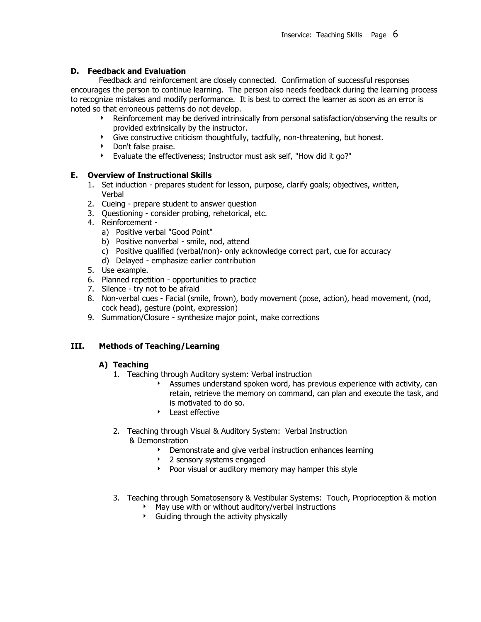## **D. Feedback and Evaluation**

Feedback and reinforcement are closely connected. Confirmation of successful responses encourages the person to continue learning. The person also needs feedback during the learning process to recognize mistakes and modify performance. It is best to correct the learner as soon as an error is noted so that erroneous patterns do not develop.

- Reinforcement may be derived intrinsically from personal satisfaction/observing the results or provided extrinsically by the instructor.
- Give constructive criticism thoughtfully, tactfully, non-threatening, but honest.
- Don't false praise.
- Evaluate the effectiveness; Instructor must ask self, "How did it go?"

## **E. Overview of Instructional Skills**

- 1. Set induction prepares student for lesson, purpose, clarify goals; objectives, written, Verbal
- 2. Cueing prepare student to answer question
- 3. Questioning consider probing, rehetorical, etc.
- 4. Reinforcement
	- a) Positive verbal "Good Point"
	- b) Positive nonverbal smile, nod, attend
	- c) Positive qualified (verbal/non)- only acknowledge correct part, cue for accuracy
	- d) Delayed emphasize earlier contribution
- 5. Use example.
- 6. Planned repetition opportunities to practice
- 7. Silence try not to be afraid
- 8. Non-verbal cues Facial (smile, frown), body movement (pose, action), head movement, (nod, cock head), gesture (point, expression)
- 9. Summation/Closure synthesize major point, make corrections

## **III. Methods of Teaching/Learning**

## **A) Teaching**

- 1. Teaching through Auditory system: Verbal instruction
	- Assumes understand spoken word, has previous experience with activity, can retain, retrieve the memory on command, can plan and execute the task, and is motivated to do so.
	- $\blacktriangleright$  Least effective
- 2. Teaching through Visual & Auditory System: Verbal Instruction & Demonstration
	- Demonstrate and give verbal instruction enhances learning
	- 2 sensory systems engaged
	- Poor visual or auditory memory may hamper this style
- 3. Teaching through Somatosensory & Vestibular Systems: Touch, Proprioception & motion
	- May use with or without auditory/verbal instructions
	- $\triangleright$  Guiding through the activity physically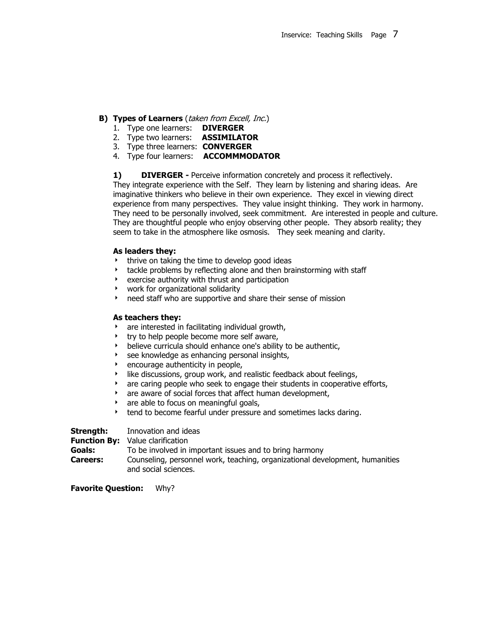## **B) Types of Learners** (taken from Excell, Inc.)

- 1. Type one learners: **DIVERGER**
- 2. Type two learners: **ASSIMILATOR**
- 3. Type three learners: **CONVERGER**
- 4. Type four learners: **ACCOMMMODATOR**

**1) DIVERGER -** Perceive information concretely and process it reflectively.

They integrate experience with the Self. They learn by listening and sharing ideas. Are imaginative thinkers who believe in their own experience. They excel in viewing direct experience from many perspectives. They value insight thinking. They work in harmony. They need to be personally involved, seek commitment. Are interested in people and culture. They are thoughtful people who enjoy observing other people. They absorb reality; they seem to take in the atmosphere like osmosis. They seek meaning and clarity.

## **As leaders they:**

- $\cdot$  thrive on taking the time to develop good ideas
- $\rightarrow$  tackle problems by reflecting alone and then brainstorming with staff
- $\rightarrow$  exercise authority with thrust and participation
- work for organizational solidarity
- need staff who are supportive and share their sense of mission

## **As teachers they:**

- $\rightarrow$  are interested in facilitating individual growth,
- try to help people become more self aware,<br>
believe curricula should enhance one's ability
- believe curricula should enhance one's ability to be authentic,
- see knowledge as enhancing personal insights,
- $\rightarrow$  encourage authenticity in people,
- like discussions, group work, and realistic feedback about feelings,
- **are caring people who seek to engage their students in cooperative efforts,**
- are aware of social forces that affect human development,
- **are able to focus on meaningful goals,**
- tend to become fearful under pressure and sometimes lacks daring.

**Strength:** Innovation and ideas

**Function By:** Value clarification

**Goals:** To be involved in important issues and to bring harmony

**Careers:** Counseling, personnel work, teaching, organizational development, humanities and social sciences.

**Favorite Question:** Why?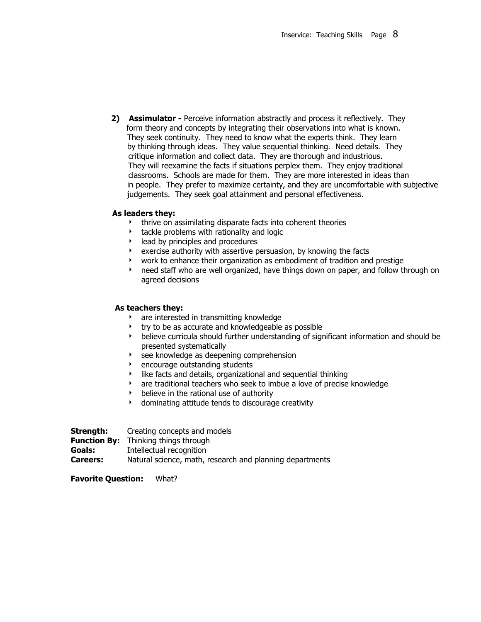**2) Assimulator -** Perceive information abstractly and process it reflectively. They form theory and concepts by integrating their observations into what is known. They seek continuity. They need to know what the experts think. They learn by thinking through ideas. They value sequential thinking. Need details. They critique information and collect data. They are thorough and industrious. They will reexamine the facts if situations perplex them. They enjoy traditional classrooms. Schools are made for them. They are more interested in ideas than in people. They prefer to maximize certainty, and they are uncomfortable with subjective judgements. They seek goal attainment and personal effectiveness.

#### **As leaders they:**

- $\cdot$  thrive on assimilating disparate facts into coherent theories
- $\cdot$  tackle problems with rationality and logic
- $\rightarrow$  lead by principles and procedures
- exercise authority with assertive persuasion, by knowing the facts
- work to enhance their organization as embodiment of tradition and prestige
- need staff who are well organized, have things down on paper, and follow through on agreed decisions

#### **As teachers they:**

- are interested in transmitting knowledge
- $\cdot$  try to be as accurate and knowledgeable as possible
- believe curricula should further understanding of significant information and should be presented systematically
- see knowledge as deepening comprehension
- **EXECUTE:** encourage outstanding students
- $\cdot$  like facts and details, organizational and sequential thinking
- are traditional teachers who seek to imbue a love of precise knowledge
- believe in the rational use of authority
- dominating attitude tends to discourage creativity

**Strength:** Creating concepts and models **Function By:** Thinking things through **Goals:** Intellectual recognition **Careers:** Natural science, math, research and planning departments

**Favorite Question:** What?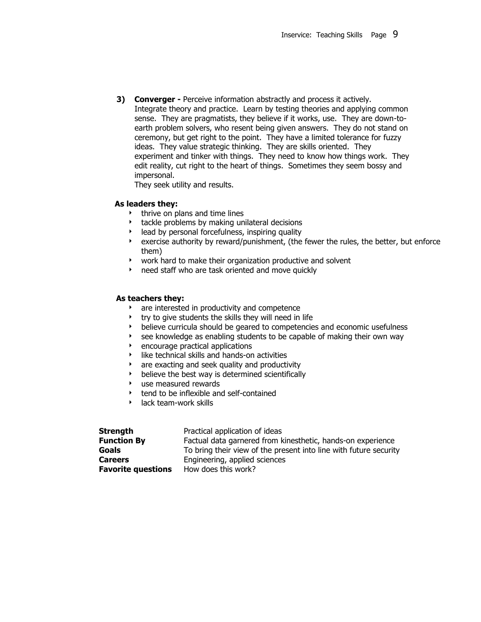**3) Converger -** Perceive information abstractly and process it actively. Integrate theory and practice. Learn by testing theories and applying common sense. They are pragmatists, they believe if it works, use. They are down-to earth problem solvers, who resent being given answers. They do not stand on ceremony, but get right to the point. They have a limited tolerance for fuzzy ideas. They value strategic thinking. They are skills oriented. They experiment and tinker with things. They need to know how things work. They edit reality, cut right to the heart of things. Sometimes they seem bossy and impersonal.

They seek utility and results.

#### **As leaders they:**

- $\rightarrow$  thrive on plans and time lines
- $\cdot$  tackle problems by making unilateral decisions
- $\rightarrow$  lead by personal forcefulness, inspiring quality
- exercise authority by reward/punishment, (the fewer the rules, the better, but enforce them)
- work hard to make their organization productive and solvent
- need staff who are task oriented and move quickly

#### **As teachers they:**

- $\rightarrow$  are interested in productivity and competence
- $\cdot$  try to give students the skills they will need in life
- believe curricula should be geared to competencies and economic usefulness
- see knowledge as enabling students to be capable of making their own way
- encourage practical applications
- like technical skills and hands-on activities
- are exacting and seek quality and productivity
- $\rightarrow$  believe the best way is determined scientifically
- use measured rewards
- tend to be inflexible and self-contained
- **Lack team-work skills**

| <b>Strength</b>           | Practical application of ideas                                    |
|---------------------------|-------------------------------------------------------------------|
| <b>Function By</b>        | Factual data garnered from kinesthetic, hands-on experience       |
| Goals                     | To bring their view of the present into line with future security |
| <b>Careers</b>            | Engineering, applied sciences                                     |
| <b>Favorite questions</b> | How does this work?                                               |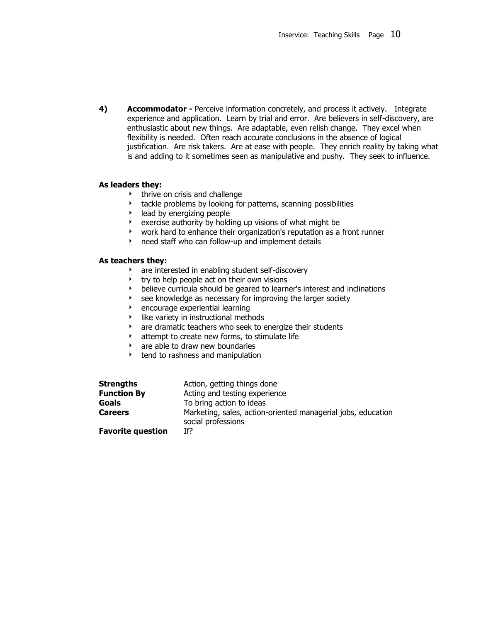**4) Accommodator -** Perceive information concretely, and process it actively. Integrate experience and application. Learn by trial and error. Are believers in self-discovery, are enthusiastic about new things. Are adaptable, even relish change. They excel when flexibility is needed. Often reach accurate conclusions in the absence of logical justification. Are risk takers. Are at ease with people. They enrich reality by taking what is and adding to it sometimes seen as manipulative and pushy. They seek to influence.

#### **As leaders they:**

- $\rightarrow$  thrive on crisis and challenge
- tackle problems by looking for patterns, scanning possibilities
- $\triangleright$  lead by energizing people
- $\rightarrow$  exercise authority by holding up visions of what might be
- work hard to enhance their organization's reputation as a front runner
- **h** need staff who can follow-up and implement details

#### **As teachers they:**

- are interested in enabling student self-discovery
- $\cdot$  try to help people act on their own visions
- believe curricula should be geared to learner's interest and inclinations
- **\*** see knowledge as necessary for improving the larger society
- **EXECUTE:** encourage experiential learning
- $\rightarrow$  like variety in instructional methods
- are dramatic teachers who seek to energize their students
- attempt to create new forms, to stimulate life
- **a** are able to draw new boundaries
- $\rightarrow$  tend to rashness and manipulation

| <b>Strengths</b>         | Action, getting things done                                                        |
|--------------------------|------------------------------------------------------------------------------------|
| <b>Function By</b>       | Acting and testing experience                                                      |
| Goals                    | To bring action to ideas                                                           |
| Careers                  | Marketing, sales, action-oriented managerial jobs, education<br>social professions |
| <b>Favorite question</b> | Tf?                                                                                |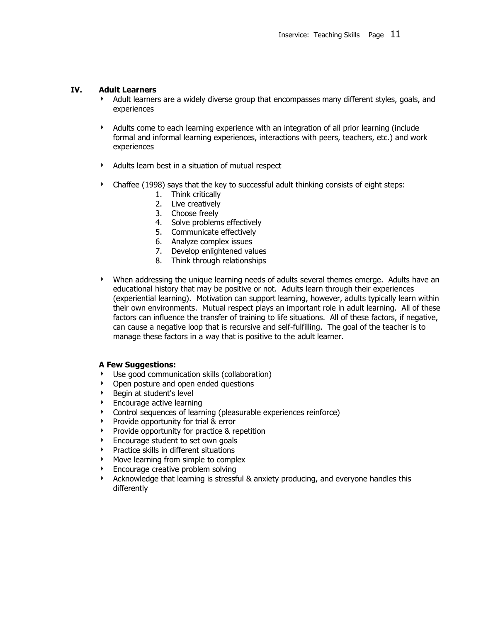## **IV. Adult Learners**

- Adult learners are a widely diverse group that encompasses many different styles, goals, and experiences
- Adults come to each learning experience with an integration of all prior learning (include formal and informal learning experiences, interactions with peers, teachers, etc.) and work experiences
- Adults learn best in a situation of mutual respect
- Chaffee (1998) says that the key to successful adult thinking consists of eight steps:
	- 1. Think critically
	- 2. Live creatively
	- 3. Choose freely
	- 4. Solve problems effectively
	- 5. Communicate effectively
	- 6. Analyze complex issues
	- 7. Develop enlightened values
	- 8. Think through relationships
- When addressing the unique learning needs of adults several themes emerge. Adults have an educational history that may be positive or not. Adults learn through their experiences (experiential learning). Motivation can support learning, however, adults typically learn within their own environments. Mutual respect plays an important role in adult learning. All of these factors can influence the transfer of training to life situations. All of these factors, if negative, can cause a negative loop that is recursive and self-fulfilling. The goal of the teacher is to manage these factors in a way that is positive to the adult learner.

## **A Few Suggestions:**

- Use good communication skills (collaboration)
- Open posture and open ended questions
- Begin at student's level
- **Encourage active learning**
- Control sequences of learning (pleasurable experiences reinforce)
- Provide opportunity for trial & error
- $\triangleright$  Provide opportunity for practice & repetition
- **Encourage student to set own goals**
- $\triangleright$  Practice skills in different situations
- Move learning from simple to complex
- Encourage creative problem solving
- Acknowledge that learning is stressful & anxiety producing, and everyone handles this differently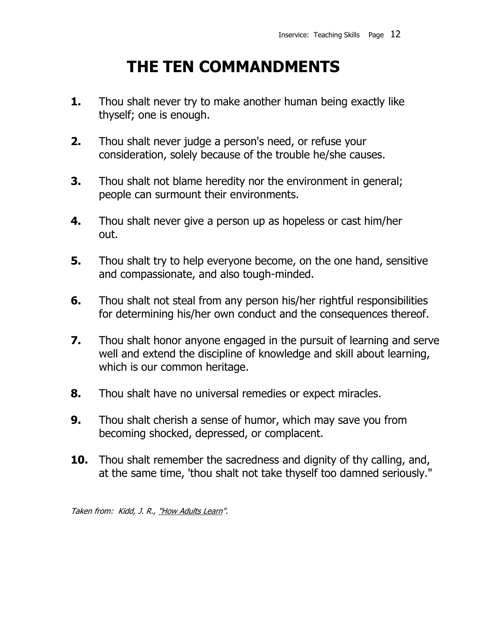# **THE TEN COMMANDMENTS**

- **1.** Thou shalt never try to make another human being exactly like thyself; one is enough.
- **2.** Thou shalt never judge a person's need, or refuse your consideration, solely because of the trouble he/she causes.
- **3.** Thou shalt not blame heredity nor the environment in general; people can surmount their environments.
- **4.** Thou shalt never give a person up as hopeless or cast him/her out.
- **5.** Thou shalt try to help everyone become, on the one hand, sensitive and compassionate, and also tough-minded.
- **6.** Thou shalt not steal from any person his/her rightful responsibilities for determining his/her own conduct and the consequences thereof.
- **7.** Thou shalt honor anyone engaged in the pursuit of learning and serve well and extend the discipline of knowledge and skill about learning, which is our common heritage.
- **8.** Thou shalt have no universal remedies or expect miracles.
- **9.** Thou shalt cherish a sense of humor, which may save you from becoming shocked, depressed, or complacent.
- **10.** Thou shalt remember the sacredness and dignity of thy calling, and, at the same time, 'thou shalt not take thyself too damned seriously."

Taken from: Kidd, J. R., "How Adults Learn".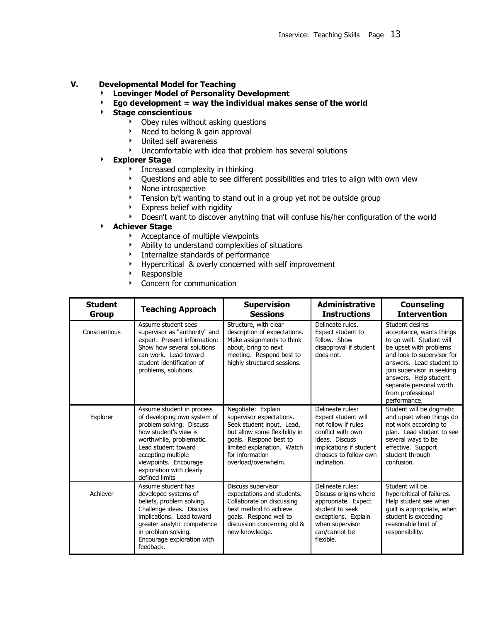## **V. Developmental Model for Teaching**

- **Loevinger Model of Personality Development**
- **Ego development = way the individual makes sense of the world**
- **Stage conscientious**
	- $\rightarrow$  Obey rules without asking questions
	- $\triangleright$  Need to belong & gain approval
	- United self awareness
	- Uncomfortable with idea that problem has several solutions
- **Explorer Stage**
	- $\triangleright$  Increased complexity in thinking
	- Questions and able to see different possibilities and tries to align with own view
	- $\triangleright$  None introspective
	- Tension b/t wanting to stand out in a group yet not be outside group
	- Express belief with rigidity
	- Doesn't want to discover anything that will confuse his/her configuration of the world

#### **Achiever Stage**

- $\triangleright$  Acceptance of multiple viewpoints
- Ability to understand complexities of situations
- **Internalize standards of performance**
- Hypercritical & overly concerned with self improvement
- Responsible
- **EXECONCERCY COMMUNICATION**

| <b>Student</b><br>Group | <b>Teaching Approach</b>                                                                                                                                                                                                                                      | <b>Supervision</b><br><b>Sessions</b>                                                                                                                                                                          | <b>Administrative</b><br><b>Instructions</b>                                                                                                                              | <b>Counseling</b><br><b>Intervention</b>                                                                                                                                                                                                                                           |
|-------------------------|---------------------------------------------------------------------------------------------------------------------------------------------------------------------------------------------------------------------------------------------------------------|----------------------------------------------------------------------------------------------------------------------------------------------------------------------------------------------------------------|---------------------------------------------------------------------------------------------------------------------------------------------------------------------------|------------------------------------------------------------------------------------------------------------------------------------------------------------------------------------------------------------------------------------------------------------------------------------|
| Conscientious           | Assume student sees<br>supervisor as "authority" and<br>expert. Present information:<br>Show how several solutions<br>can work. Lead toward<br>student identification of<br>problems, solutions.                                                              | Structure, with clear<br>description of expectations.<br>Make assignments to think<br>about, bring to next<br>meeting. Respond best to<br>highly structured sessions.                                          | Delineate rules.<br>Expect student to<br>follow. Show<br>disapproval if student<br>does not.                                                                              | Student desires<br>acceptance, wants things<br>to go well. Student will<br>be upset with problems<br>and look to supervisor for<br>answers. Lead student to<br>join supervisor in seeking<br>answers. Help student<br>separate personal worth<br>from professional<br>performance. |
| Explorer                | Assume student in process<br>of developing own system of<br>problem solving. Discuss<br>how student's view is<br>worthwhile, problematic.<br>Lead student toward<br>accepting multiple<br>viewpoints. Encourage<br>exploration with clearly<br>defined limits | Negotiate: Explain<br>supervisor expectations.<br>Seek student input. Lead,<br>but allow some flexibility in<br>goals. Respond best to<br>limited explanation. Watch<br>for information<br>overload/overwhelm. | Delineate rules:<br>Expect student will<br>not follow if rules<br>conflict with own<br>ideas. Discuss<br>implications if student<br>chooses to follow own<br>inclination. | Student will be dogmatic<br>and upset when things do<br>not work according to<br>plan. Lead student to see<br>several ways to be<br>effective. Support<br>student through<br>confusion.                                                                                            |
| Achiever                | Assume student has<br>developed systems of<br>beliefs, problem solving.<br>Challenge ideas. Discuss<br>implications. Lead toward<br>greater analytic competence<br>in problem solving.<br>Encourage exploration with<br>feedback.                             | Discuss supervisor<br>expectations and students.<br>Collaborate on discussing<br>best method to achieve<br>goals. Respond well to<br>discussion concerning old &<br>new knowledge.                             | Delineate rules:<br>Discuss origins where<br>appropriate. Expect<br>student to seek<br>exceptions. Explain<br>when supervisor<br>can/cannot be<br>flexible.               | Student will be<br>hypercritical of failures.<br>Help student see when<br>guilt is appropriate, when<br>student is exceeding<br>reasonable limit of<br>responsibility.                                                                                                             |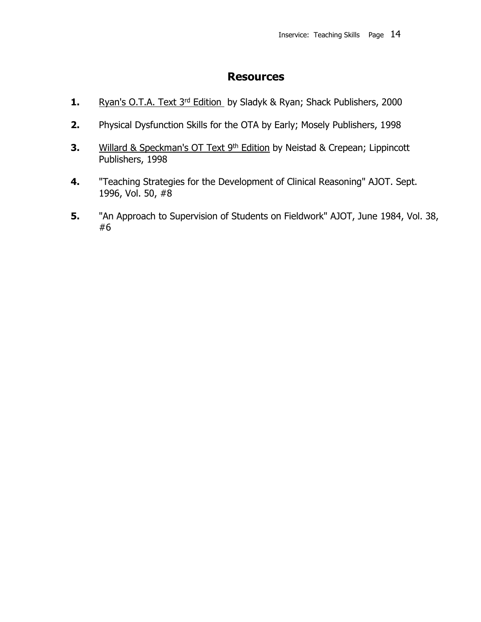## **Resources**

- **1.** Ryan's O.T.A. Text 3<sup>rd</sup> Edition by Sladyk & Ryan; Shack Publishers, 2000
- **2.** Physical Dysfunction Skills for the OTA by Early; Mosely Publishers, 1998
- **3.** Willard & Speckman's OT Text 9<sup>th</sup> Edition by Neistad & Crepean; Lippincott Publishers, 1998
- **4.** "Teaching Strategies for the Development of Clinical Reasoning" AJOT. Sept. 1996, Vol. 50, #8
- **5.** "An Approach to Supervision of Students on Fieldwork" AJOT, June 1984, Vol. 38, #6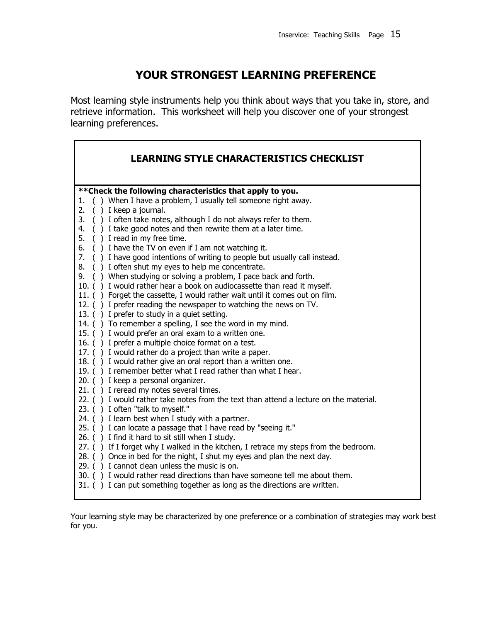# **YOUR STRONGEST LEARNING PREFERENCE**

Most learning style instruments help you think about ways that you take in, store, and retrieve information. This worksheet will help you discover one of your strongest learning preferences.

| <b>LEARNING STYLE CHARACTERISTICS CHECKLIST</b>                                                                                                                                                                                                                                                                                                                                                                                                                                                                                                                                                                                                                                                     |  |  |  |  |  |  |  |  |
|-----------------------------------------------------------------------------------------------------------------------------------------------------------------------------------------------------------------------------------------------------------------------------------------------------------------------------------------------------------------------------------------------------------------------------------------------------------------------------------------------------------------------------------------------------------------------------------------------------------------------------------------------------------------------------------------------------|--|--|--|--|--|--|--|--|
| ** Check the following characteristics that apply to you.<br>() When I have a problem, I usually tell someone right away.<br>1.<br>() I keep a journal.<br>2.<br>() I often take notes, although I do not always refer to them.<br>3.<br>() I take good notes and then rewrite them at a later time.<br>4.<br>5.<br>() I read in my free time.<br>() I have the TV on even if I am not watching it.<br>6.<br>() I have good intentions of writing to people but usually call instead.<br>7.<br>() I often shut my eyes to help me concentrate.<br>8.<br>9. () When studying or solving a problem, I pace back and forth.<br>10. () I would rather hear a book on audiocassette than read it myself. |  |  |  |  |  |  |  |  |
| 11. () Forget the cassette, I would rather wait until it comes out on film.<br>12. () I prefer reading the newspaper to watching the news on TV.<br>13. () I prefer to study in a quiet setting.<br>14. () To remember a spelling, I see the word in my mind.<br>15. () I would prefer an oral exam to a written one.<br>16. () I prefer a multiple choice format on a test.<br>17. () I would rather do a project than write a paper.<br>18. () I would rather give an oral report than a written one.<br>19. () I remember better what I read rather than what I hear.<br>20. () I keep a personal organizer.<br>21. () I reread my notes several times.                                          |  |  |  |  |  |  |  |  |
| 22. () I would rather take notes from the text than attend a lecture on the material.<br>23. () I often "talk to myself."<br>24. () I learn best when I study with a partner.<br>25. () I can locate a passage that I have read by "seeing it."<br>26. () I find it hard to sit still when I study.<br>27. () If I forget why I walked in the kitchen, I retrace my steps from the bedroom.<br>28. () Once in bed for the night, I shut my eyes and plan the next day.<br>29. () I cannot clean unless the music is on.<br>30. () I would rather read directions than have someone tell me about them.<br>31. () I can put something together as long as the directions are written.                |  |  |  |  |  |  |  |  |

Your learning style may be characterized by one preference or a combination of strategies may work best for you.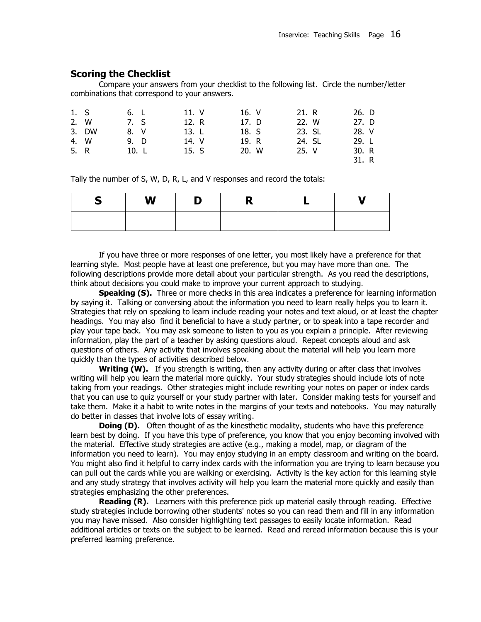## **Scoring the Checklist**

Compare your answers from your checklist to the following list. Circle the number/letter combinations that correspond to your answers.

| 1. S |       | 6. L  | 11. V | 16. V | 21. R  | 26. D |
|------|-------|-------|-------|-------|--------|-------|
| 2. W |       | 7. S  | 12. R | 17. D | 22. W  | 27. D |
|      | 3. DW | 8. V  | 13. L | 18. S | 23. SL | 28. V |
| 4. W |       | 9. D  | 14. V | 19. R | 24. SL | 29. L |
| 5. R |       | 10. L | 15. S | 20. W | 25. V  | 30. R |
|      |       |       |       |       |        | 31. R |

Tally the number of S, W, D, R, L, and V responses and record the totals:

| <b>MA</b> |  |  |
|-----------|--|--|
|           |  |  |

If you have three or more responses of one letter, you most likely have a preference for that learning style. Most people have at least one preference, but you may have more than one. The following descriptions provide more detail about your particular strength. As you read the descriptions, think about decisions you could make to improve your current approach to studying.

**Speaking (S).** Three or more checks in this area indicates a preference for learning information by saying it. Talking or conversing about the information you need to learn really helps you to learn it. Strategies that rely on speaking to learn include reading your notes and text aloud, or at least the chapter headings. You may also find it beneficial to have a study partner, or to speak into a tape recorder and play your tape back. You may ask someone to listen to you as you explain a principle. After reviewing information, play the part of a teacher by asking questions aloud. Repeat concepts aloud and ask questions of others. Any activity that involves speaking about the material will help you learn more quickly than the types of activities described below.

**Writing (W).** If you strength is writing, then any activity during or after class that involves writing will help you learn the material more quickly. Your study strategies should include lots of note taking from your readings. Other strategies might include rewriting your notes on paper or index cards that you can use to quiz yourself or your study partner with later. Consider making tests for yourself and take them. Make it a habit to write notes in the margins of your texts and notebooks. You may naturally do better in classes that involve lots of essay writing.

**Doing (D).** Often thought of as the kinesthetic modality, students who have this preference learn best by doing. If you have this type of preference, you know that you enjoy becoming involved with the material. Effective study strategies are active (e.g., making a model, map, or diagram of the information you need to learn). You may enjoy studying in an empty classroom and writing on the board. You might also find it helpful to carry index cards with the information you are trying to learn because you can pull out the cards while you are walking or exercising. Activity is the key action for this learning style and any study strategy that involves activity will help you learn the material more quickly and easily than strategies emphasizing the other preferences.

**Reading (R).** Learners with this preference pick up material easily through reading. Effective study strategies include borrowing other students' notes so you can read them and fill in any information you may have missed. Also consider highlighting text passages to easily locate information. Read additional articles or texts on the subject to be learned. Read and reread information because this is your preferred learning preference.